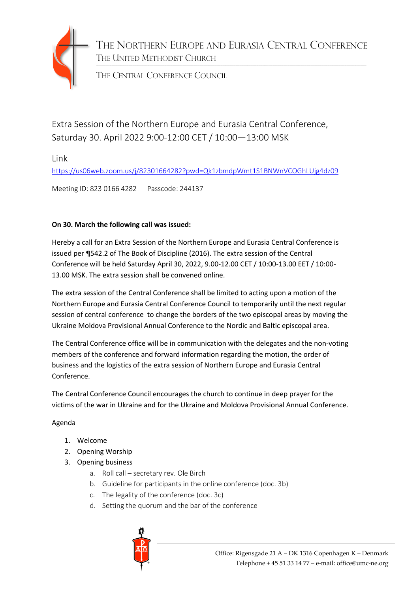

THE NORTHERN EUROPE AND EURASIA CENTRAL CONFERENCE THE UNITED METHODIST CHURCH

THE CENTRAL CONFERENCE COUNCIL

Extra Session of the Northern Europe and Eurasia Central Conference, Saturday 30. April 2022 9:00-12:00 CET / 10:00—13:00 MSK

Link

<https://us06web.zoom.us/j/82301664282?pwd=Qk1zbmdpWmt1S1BNWnVCOGhLUjg4dz09>

Meeting ID: 823 0166 4282 Passcode: 244137

## **On 30. March the following call was issued:**

Hereby a call for an Extra Session of the Northern Europe and Eurasia Central Conference is issued per ¶542.2 of The Book of Discipline (2016). The extra session of the Central Conference will be held Saturday April 30, 2022, 9.00-12.00 CET / 10:00-13.00 EET / 10:00- 13.00 MSK. The extra session shall be convened online.

The extra session of the Central Conference shall be limited to acting upon a motion of the Northern Europe and Eurasia Central Conference Council to temporarily until the next regular session of central conference to change the borders of the two episcopal areas by moving the Ukraine Moldova Provisional Annual Conference to the Nordic and Baltic episcopal area.

The Central Conference office will be in communication with the delegates and the non-voting members of the conference and forward information regarding the motion, the order of business and the logistics of the extra session of Northern Europe and Eurasia Central Conference.

The Central Conference Council encourages the church to continue in deep prayer for the victims of the war in Ukraine and for the Ukraine and Moldova Provisional Annual Conference.

## Agenda

- 1. Welcome
- 2. Opening Worship
- 3. Opening business
	- a. Roll call secretary rev. Ole Birch
	- b. Guideline for participants in the online conference (doc. 3b)
	- c. The legality of the conference (doc. 3c)
	- d. Setting the quorum and the bar of the conference